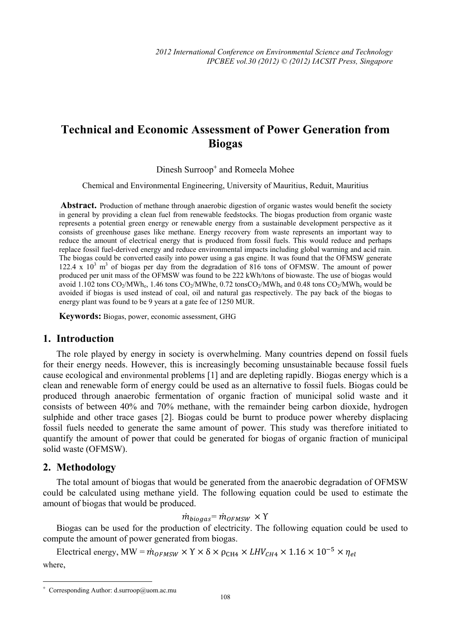# **Technical and Economic Assessment of Power Generation from Biogas**

Dinesh Surroop<sup>+</sup> and Romeela Mohee

Chemical and Environmental Engineering, University of Mauritius, Reduit, Mauritius

Abstract. Production of methane through anaerobic digestion of organic wastes would benefit the society in general by providing a clean fuel from renewable feedstocks. The biogas production from organic waste represents a potential green energy or renewable energy from a sustainable development perspective as it consists of greenhouse gases like methane. Energy recovery from waste represents an important way to reduce the amount of electrical energy that is produced from fossil fuels. This would reduce and perhaps replace fossil fuel-derived energy and reduce environmental impacts including global warming and acid rain. The biogas could be converted easily into power using a gas engine. It was found that the OFMSW generate  $122.4 \times 10^3$  m<sup>3</sup> of biogas per day from the degradation of 816 tons of OFMSW. The amount of power produced per unit mass of the OFMSW was found to be 222 kWh/tons of biowaste. The use of biogas would avoid  $1.102$  tons CO<sub>2</sub>/MWh<sub>e</sub>, 1.46 tons CO<sub>2</sub>/MWhe, 0.72 tons CO<sub>2</sub>/MWh<sub>e</sub> and 0.48 tons CO<sub>2</sub>/MWh<sub>e</sub> would be avoided if biogas is used instead of coal, oil and natural gas respectively. The pay back of the biogas to energy plant was found to be 9 years at a gate fee of 1250 MUR.

**Keywords:** Biogas, power, economic assessment, GHG

### **1. Introduction**

The role played by energy in society is overwhelming. Many countries depend on fossil fuels for their energy needs. However, this is increasingly becoming unsustainable because fossil fuels cause ecological and environmental problems [1] and are depleting rapidly. Biogas energy which is a clean and renewable form of energy could be used as an alternative to fossil fuels. Biogas could be produced through anaerobic fermentation of organic fraction of municipal solid waste and it consists of between 40% and 70% methane, with the remainder being carbon dioxide, hydrogen sulphide and other trace gases [2]. Biogas could be burnt to produce power whereby displacing fossil fuels needed to generate the same amount of power. This study was therefore initiated to quantify the amount of power that could be generated for biogas of organic fraction of municipal solid waste (OFMSW).

### **2. Methodology**

 $\overline{a}$ 

The total amount of biogas that would be generated from the anaerobic degradation of OFMSW could be calculated using methane yield. The following equation could be used to estimate the amount of biogas that would be produced.

$$
\dot{m}_{biogas} = \dot{m}_{OFMSW} \times \Upsilon
$$

Biogas can be used for the production of electricity. The following equation could be used to compute the amount of power generated from biogas.

Electrical energy, MW =  $\dot{m}_{OFMSW} \times \Upsilon \times \delta \times \rho_{CH4} \times LHV_{CH4} \times 1.16 \times 10^{-5} \times \eta_{el}$ where,

<sup>+</sup> Corresponding Author: d.surroop@uom.ac.mu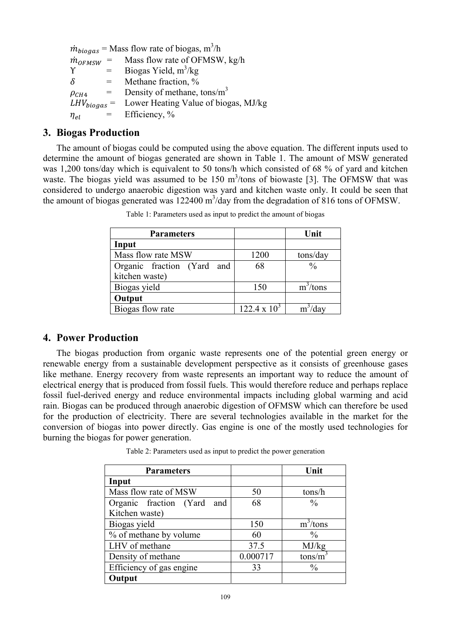| $\dot{m}_{biogas}$ = Mass flow rate of biogas, m <sup>3</sup> /h |              |                                                       |  |  |  |
|------------------------------------------------------------------|--------------|-------------------------------------------------------|--|--|--|
| $\dot{m}_{OFMSW}$ =                                              |              | Mass flow rate of OFMSW, kg/h                         |  |  |  |
| $\mathbf v$                                                      | $=$ $-$      | Biogas Yield, $m^3/kg$                                |  |  |  |
| $\delta$                                                         | $=$          | Methane fraction, %                                   |  |  |  |
| $\rho_{CH4}$                                                     | $=$ $\qquad$ | Density of methane, tons/ $m3$                        |  |  |  |
|                                                                  |              | $LHV_{biogas}$ = Lower Heating Value of biogas, MJ/kg |  |  |  |
| $\eta_{el}$                                                      |              | $=$ Efficiency, %                                     |  |  |  |

## **3. Biogas Production**

The amount of biogas could be computed using the above equation. The different inputs used to determine the amount of biogas generated are shown in Table 1. The amount of MSW generated was 1,200 tons/day which is equivalent to 50 tons/h which consisted of 68 % of yard and kitchen waste. The biogas yield was assumed to be  $150 \text{ m}^3$ /tons of biowaste [3]. The OFMSW that was considered to undergo anaerobic digestion was yard and kitchen waste only. It could be seen that the amount of biogas generated was  $122400 \text{ m}^3/\text{day}$  from the degradation of 816 tons of OFMSW.

| <b>Parameters</b>          |                     | Unit          |
|----------------------------|---------------------|---------------|
| Input                      |                     |               |
| Mass flow rate MSW         | 1200                | tons/day      |
| Organic fraction (Yard and | 68                  | $\frac{0}{0}$ |
| kitchen waste)             |                     |               |
| Biogas yield               | 150                 | $m^3$ /tons   |
| Output                     |                     |               |
| Biogas flow rate           | $122.4 \times 10^3$ |               |

Table 1: Parameters used as input to predict the amount of biogas

# **4. Power Production**

The biogas production from organic waste represents one of the potential green energy or renewable energy from a sustainable development perspective as it consists of greenhouse gases like methane. Energy recovery from waste represents an important way to reduce the amount of electrical energy that is produced from fossil fuels. This would therefore reduce and perhaps replace fossil fuel-derived energy and reduce environmental impacts including global warming and acid rain. Biogas can be produced through anaerobic digestion of OFMSW which can therefore be used for the production of electricity. There are several technologies available in the market for the conversion of biogas into power directly. Gas engine is one of the mostly used technologies for burning the biogas for power generation.

Table 2: Parameters used as input to predict the power generation

| <b>Parameters</b>             |          | Unit          |
|-------------------------------|----------|---------------|
| Input                         |          |               |
| Mass flow rate of MSW         | 50       | tons/h        |
| Organic fraction (Yard<br>and | 68       | $\frac{0}{0}$ |
| Kitchen waste)                |          |               |
| Biogas yield                  | 150      | $m^3$ /tons   |
| % of methane by volume        | 60       | $\frac{0}{0}$ |
| LHV of methane                | 37.5     | MJ/kg         |
| Density of methane            | 0.000717 | tons/m        |
| Efficiency of gas engine      | 33       | $\frac{0}{0}$ |
| Output                        |          |               |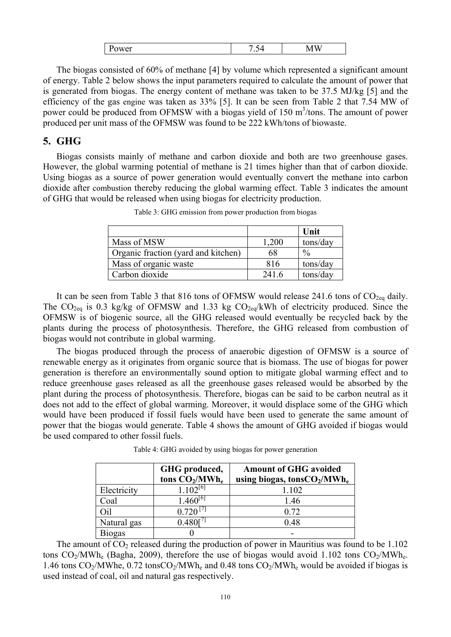| -<br>- --<br>. . | ب. | -<br>$\overline{\phantom{a}}$<br>$ -$ |
|------------------|----|---------------------------------------|
|                  |    |                                       |

The biogas consisted of 60% of methane [4] by volume which represented a significant amount of energy. Table 2 below shows the input parameters required to calculate the amount of power that is generated from biogas. The energy content of methane was taken to be 37.5 MJ/kg [5] and the efficiency of the gas engine was taken as 33% [5]. It can be seen from Table 2 that 7.54 MW of power could be produced from OFMSW with a biogas yield of 150 m<sup>3</sup>/tons. The amount of power produced per unit mass of the OFMSW was found to be 222 kWh/tons of biowaste.

## **5. GHG**

Biogas consists mainly of methane and carbon dioxide and both are two greenhouse gases. However, the global warming potential of methane is 21 times higher than that of carbon dioxide. Using biogas as a source of power generation would eventually convert the methane into carbon dioxide after combustion thereby reducing the global warming effect. Table 3 indicates the amount of GHG that would be released when using biogas for electricity production.

|                                     |       | Unit          |
|-------------------------------------|-------|---------------|
| Mass of MSW                         | 1,200 | tons/day      |
| Organic fraction (yard and kitchen) | 68    | $\frac{0}{0}$ |
| Mass of organic waste               | 816   | tons/day      |
| Carbon dioxide                      | 241.6 | tons/day      |

Table 3: GHG emission from power production from biogas

It can be seen from Table 3 that 816 tons of OFMSW would release 241.6 tons of  $CO<sub>2eq</sub>$  daily. The  $CO_{2eq}$  is 0.3 kg/kg of OFMSW and 1.33 kg  $CO_{2eq}/kWh$  of electricity produced. Since the OFMSW is of biogenic source, all the GHG released would eventually be recycled back by the plants during the process of photosynthesis. Therefore, the GHG released from combustion of biogas would not contribute in global warming.

The biogas produced through the process of anaerobic digestion of OFMSW is a source of renewable energy as it originates from organic source that is biomass. The use of biogas for power generation is therefore an environmentally sound option to mitigate global warming effect and to reduce greenhouse gases released as all the greenhouse gases released would be absorbed by the plant during the process of photosynthesis. Therefore, biogas can be said to be carbon neutral as it does not add to the effect of global warming. Moreover, it would displace some of the GHG which would have been produced if fossil fuels would have been used to generate the same amount of power that the biogas would generate. Table 4 shows the amount of GHG avoided if biogas would be used compared to other fossil fuels.

|             | GHG produced,<br>tons $CO2/MWhe$ | <b>Amount of GHG avoided</b><br>using biogas, tons $CO2/MWhe$ |
|-------------|----------------------------------|---------------------------------------------------------------|
| Electricity | 102 <sup>[6]</sup>               | 1.102                                                         |
| Coal        |                                  | 1.46                                                          |
|             |                                  | 0.72                                                          |
| Natural gas |                                  | 0.48                                                          |
| Biogas      |                                  |                                                               |

Table 4: GHG avoided by using biogas for power generation

The amount of  $CO<sub>2</sub>$  released during the production of power in Mauritius was found to be 1.102 tons  $CO_2/MWh_e$  (Bagha, 2009), therefore the use of biogas would avoid 1.102 tons  $CO_2/MWh_e$ . 1.46 tons  $CO_2/MWh$ e, 0.72 tons $CO_2/MWh$ e and 0.48 tons  $CO_2/MWh$ e would be avoided if biogas is used instead of coal, oil and natural gas respectively.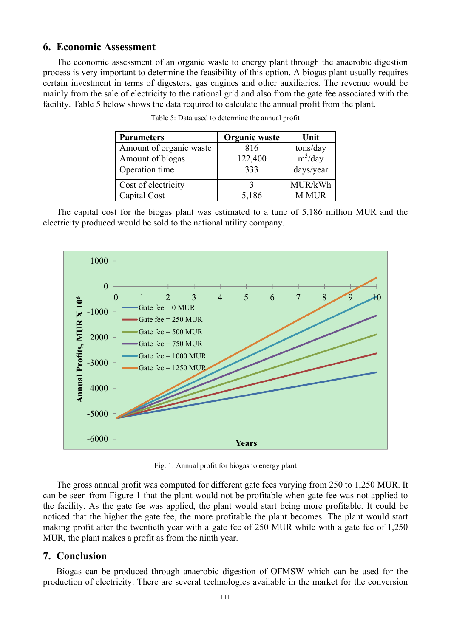## **6. Economic Assessment**

The economic assessment of an organic waste to energy plant through the anaerobic digestion process is very important to determine the feasibility of this option. A biogas plant usually requires certain investment in terms of digesters, gas engines and other auxiliaries. The revenue would be mainly from the sale of electricity to the national grid and also from the gate fee associated with the facility. Table 5 below shows the data required to calculate the annual profit from the plant.

| <b>Parameters</b>       | Organic waste | Unit         |
|-------------------------|---------------|--------------|
| Amount of organic waste | 816           | tons/day     |
| Amount of biogas        | 122,400       | $m^3$ /day   |
| Operation time          | 333           | days/year    |
| Cost of electricity     |               | MUR/kWh      |
| Capital Cost            | 5,186         | <b>M MUR</b> |

|  |  |  |  | Table 5: Data used to determine the annual profit |  |  |  |
|--|--|--|--|---------------------------------------------------|--|--|--|
|--|--|--|--|---------------------------------------------------|--|--|--|

The capital cost for the biogas plant was estimated to a tune of 5,186 million MUR and the electricity produced would be sold to the national utility company.



Fig. 1: Annual profit for biogas to energy plant

The gross annual profit was computed for different gate fees varying from 250 to 1,250 MUR. It can be seen from Figure 1 that the plant would not be profitable when gate fee was not applied to the facility. As the gate fee was applied, the plant would start being more profitable. It could be noticed that the higher the gate fee, the more profitable the plant becomes. The plant would start making profit after the twentieth year with a gate fee of 250 MUR while with a gate fee of 1,250 MUR, the plant makes a profit as from the ninth year.

### **7. Conclusion**

Biogas can be produced through anaerobic digestion of OFMSW which can be used for the production of electricity. There are several technologies available in the market for the conversion